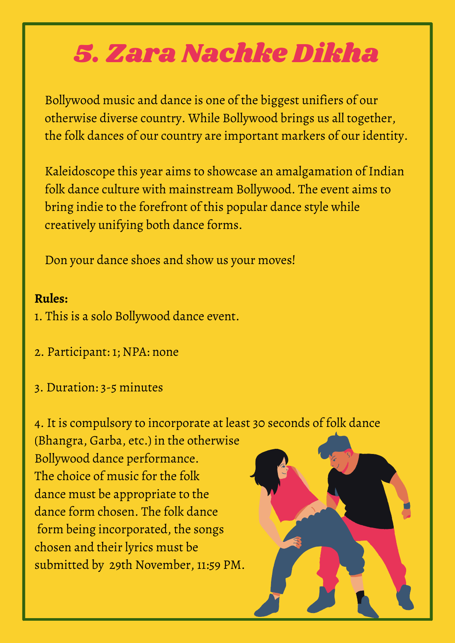## 5. Zara Nachke Dikha

Bollywood music and dance is one of the biggest unifiers of our otherwise diverse country. While Bollywood brings us all together, the folk dances of our country are important markers of our identity.

Kaleidoscope this year aims to showcase an amalgamation of Indian folk dance culture with mainstream Bollywood. The event aims to bring indie to the forefront of this popular dance style while creatively unifying both dance forms.

Don your dance shoes and show us your moves!

## **Rules:**

- 1. This is a solo Bollywood dance event.
- 2. Participant: 1; NPA: none
- 3. Duration: 3-5 minutes
- 4. It is compulsory to incorporate at least 30 seconds of folk dance

(Bhangra, Garba, etc.) in the otherwise Bollywood dance performance. The choice of music for the folk dance must be appropriate to the dance form chosen. The folk dance form being incorporated, the songs chosen and their lyrics must be submitted by 29th November, 11:59 PM.